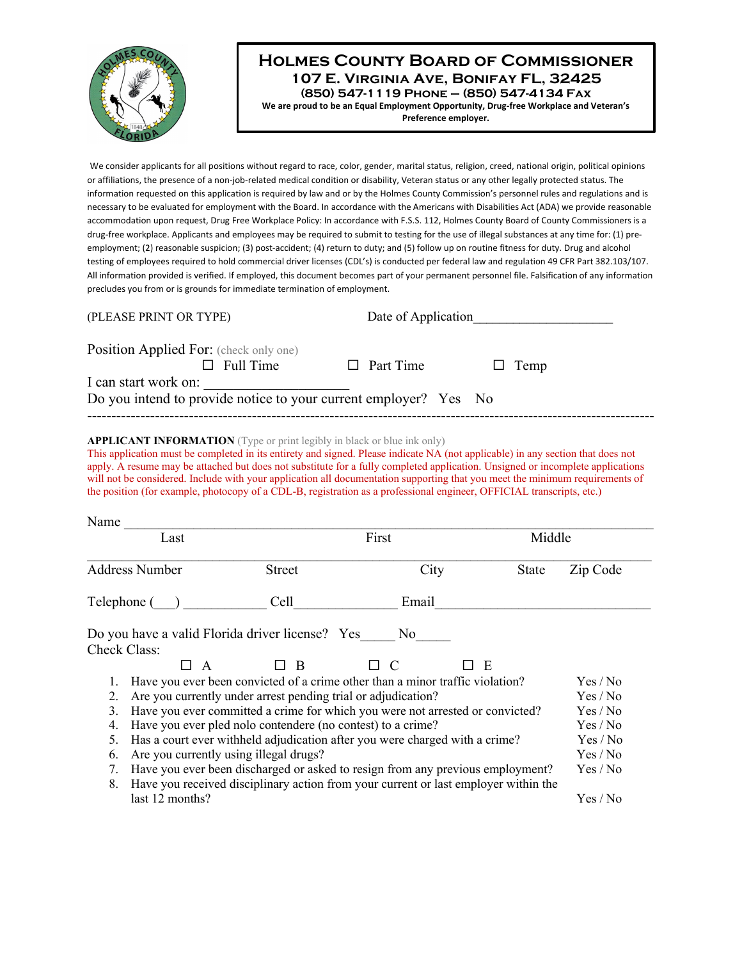

## **Holmes County Board of Commissioner 107 E. Virginia Ave, Bonifay FL, 32425**

**(850) 547-1119 Phone – (850) 547-4134 Fax We are proud to be an Equal Employment Opportunity, Drug-free Workplace and Veteran's Preference employer.**

We consider applicants for all positions without regard to race, color, gender, marital status, religion, creed, national origin, political opinions or affiliations, the presence of a non-job-related medical condition or disability, Veteran status or any other legally protected status. The information requested on this application is required by law and or by the Holmes County Commission's personnel rules and regulations and is necessary to be evaluated for employment with the Board. In accordance with the Americans with Disabilities Act (ADA) we provide reasonable accommodation upon request, Drug Free Workplace Policy: In accordance with F.S.S. 112, Holmes County Board of County Commissioners is a drug-free workplace. Applicants and employees may be required to submit to testing for the use of illegal substances at any time for: (1) preemployment; (2) reasonable suspicion; (3) post-accident; (4) return to duty; and (5) follow up on routine fitness for duty. Drug and alcohol testing of employees required to hold commercial driver licenses (CDL's) is conducted per federal law and regulation 49 CFR Part 382.103/107. All information provided is verified. If employed, this document becomes part of your permanent personnel file. Falsification of any information precludes you from or is grounds for immediate termination of employment.

| (PLEASE PRINT OR TYPE)                                                                   | Date of Application |             |
|------------------------------------------------------------------------------------------|---------------------|-------------|
| <b>Position Applied For:</b> (check only one)<br>$\Box$ Full Time                        | $\Box$ Part Time    | $\Box$ Temp |
| I can start work on:<br>Do you intend to provide notice to your current employer? Yes No |                     |             |
|                                                                                          |                     |             |

#### **APPLICANT INFORMATION** (Type or print legibly in black or blue ink only)

This application must be completed in its entirety and signed. Please indicate NA (not applicable) in any section that does not apply. A resume may be attached but does not substitute for a fully completed application. Unsigned or incomplete applications will not be considered. Include with your application all documentation supporting that you meet the minimum requirements of the position (for example, photocopy of a CDL-B, registration as a professional engineer, OFFICIAL transcripts, etc.)

| Name                |                                                                                     |       |              |          |
|---------------------|-------------------------------------------------------------------------------------|-------|--------------|----------|
| Last                |                                                                                     | First | Middle       |          |
| Address Number      | <b>Street</b>                                                                       | City  | <b>State</b> | Zip Code |
| Telephone (         | Cell                                                                                | Email |              |          |
|                     | Do you have a valid Florida driver license? Yes                                     | No.   |              |          |
| <b>Check Class:</b> |                                                                                     |       |              |          |
| П                   | $\Box$ B<br>A                                                                       | - C   | E            |          |
|                     | Have you ever been convicted of a crime other than a minor traffic violation?       |       |              | Yes / No |
| 2.                  | Are you currently under arrest pending trial or adjudication?                       |       |              | Yes / No |
| 3.                  | Have you ever committed a crime for which you were not arrested or convicted?       |       |              | Yes / No |
| 4.                  | Have you ever pled nolo contendere (no contest) to a crime?                         |       |              | Yes / No |
| 5.                  | Has a court ever withheld adjudication after you were charged with a crime?         |       |              | Yes / No |
| 6.                  | Are you currently using illegal drugs?                                              |       |              | Yes / No |
|                     | Have you ever been discharged or asked to resign from any previous employment?      |       |              | Yes / No |
| 8.                  | Have you received disciplinary action from your current or last employer within the |       |              |          |
| last 12 months?     |                                                                                     |       |              | Yes / No |
|                     |                                                                                     |       |              |          |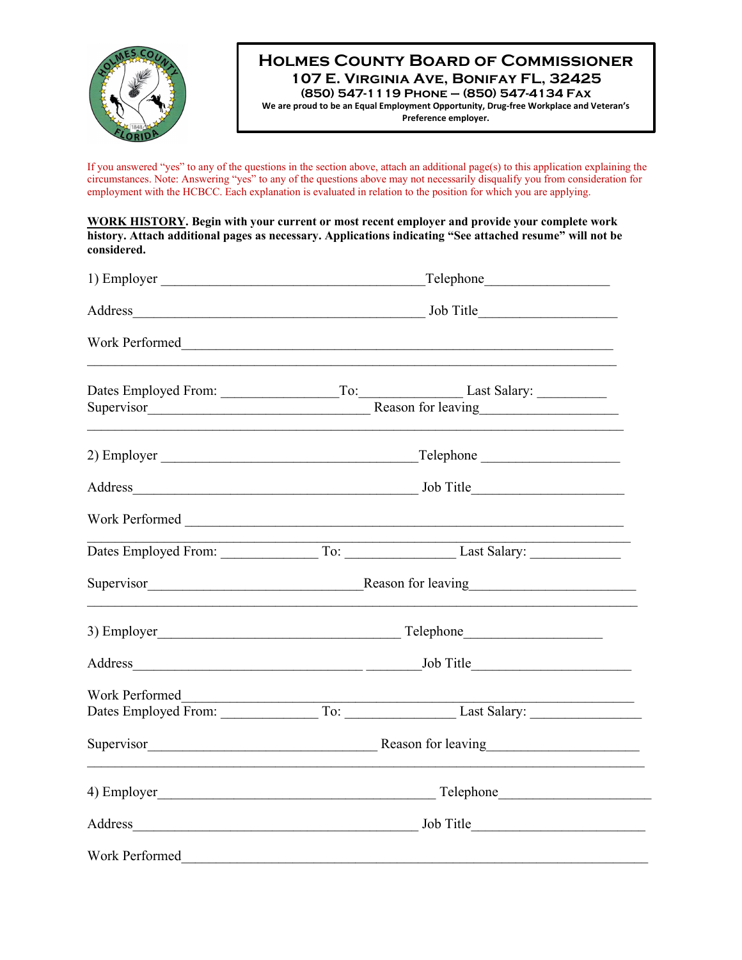

### **Holmes County Board of Commissioner 107 E. Virginia Ave, Bonifay FL, 32425 (850) 547-1119 Phone – (850) 547-4134 Fax**

**We are proud to be an Equal Employment Opportunity, Drug-free Workplace and Veteran's Preference employer.**

If you answered "yes" to any of the questions in the section above, attach an additional page(s) to this application explaining the circumstances. Note: Answering "yes" to any of the questions above may not necessarily disqualify you from consideration for employment with the HCBCC. Each explanation is evaluated in relation to the position for which you are applying.

**WORK HISTORY. Begin with your current or most recent employer and provide your complete work history. Attach additional pages as necessary. Applications indicating "See attached resume" will not be considered.** 

|                |                                                                                   | Work Performed |  |
|----------------|-----------------------------------------------------------------------------------|----------------|--|
|                |                                                                                   |                |  |
|                |                                                                                   |                |  |
|                |                                                                                   |                |  |
|                |                                                                                   |                |  |
|                |                                                                                   |                |  |
|                | ,我们也不能在这里的人,我们也不能在这里的人,我们也不能在这里的人,我们也不能在这里的人,我们也不能在这里的人,我们也不能在这里的人,我们也不能在这里的人,我们也 |                |  |
|                |                                                                                   |                |  |
|                |                                                                                   |                |  |
| Work Performed |                                                                                   |                |  |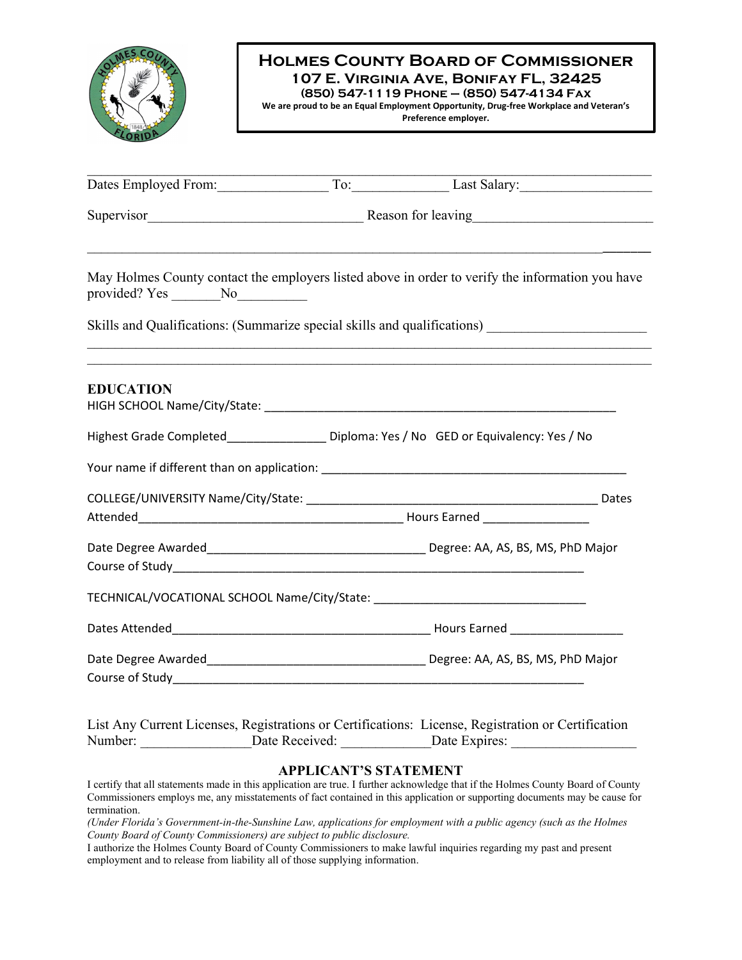

## **Holmes County Board of Commissioner 107 E. Virginia Ave, Bonifay FL, 32425**

**(850) 547-1119 Phone – (850) 547-4134 Fax**

**We are proud to be an Equal Employment Opportunity, Drug-free Workplace and Veteran's Preference employer.**

|                                                                                                                                                                                                                                |  | Dates Employed From: To: To: Last Salary:                                                        |  |
|--------------------------------------------------------------------------------------------------------------------------------------------------------------------------------------------------------------------------------|--|--------------------------------------------------------------------------------------------------|--|
|                                                                                                                                                                                                                                |  |                                                                                                  |  |
|                                                                                                                                                                                                                                |  | May Holmes County contact the employers listed above in order to verify the information you have |  |
|                                                                                                                                                                                                                                |  |                                                                                                  |  |
| <b>EDUCATION</b>                                                                                                                                                                                                               |  |                                                                                                  |  |
|                                                                                                                                                                                                                                |  |                                                                                                  |  |
|                                                                                                                                                                                                                                |  | Highest Grade Completed_________________ Diploma: Yes / No GED or Equivalency: Yes / No          |  |
|                                                                                                                                                                                                                                |  |                                                                                                  |  |
|                                                                                                                                                                                                                                |  |                                                                                                  |  |
|                                                                                                                                                                                                                                |  |                                                                                                  |  |
| Course of Study and the contract of Study and the contract of the contract of the contract of Study and the contract of the contract of the contract of the contract of the contract of the contract of the contract of the co |  |                                                                                                  |  |
| TECHNICAL/VOCATIONAL SCHOOL Name/City/State: ___________________________________                                                                                                                                               |  |                                                                                                  |  |
|                                                                                                                                                                                                                                |  |                                                                                                  |  |

List Any Current Licenses, Registrations or Certifications: License, Registration or Certification Number: Date Received: Date Expires:

#### **APPLICANT'S STATEMENT**

I certify that all statements made in this application are true. I further acknowledge that if the Holmes County Board of County Commissioners employs me, any misstatements of fact contained in this application or supporting documents may be cause for termination.

*(Under Florida's Government-in-the-Sunshine Law, applications for employment with a public agency (such as the Holmes County Board of County Commissioners) are subject to public disclosure.* 

I authorize the Holmes County Board of County Commissioners to make lawful inquiries regarding my past and present employment and to release from liability all of those supplying information.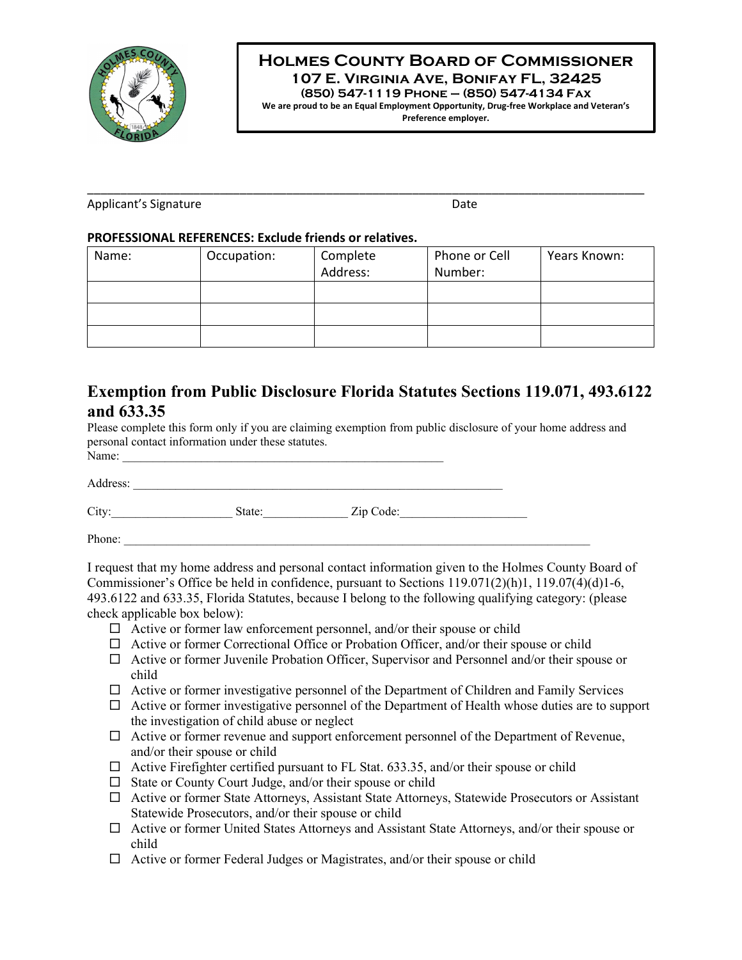

# **Holmes County Board of Commissioner 107 E. Virginia Ave, Bonifay FL, 32425**

**(850) 547-1119 Phone – (850) 547-4134 Fax We are proud to be an Equal Employment Opportunity, Drug-free Workplace and Veteran's Preference employer.**

Applicant's Signature **Date** Date **Date** 

### **PROFESSIONAL REFERENCES: Exclude friends or relatives.**

| Name: | Occupation: | Complete<br>Address: | Phone or Cell<br>Number: | Years Known: |
|-------|-------------|----------------------|--------------------------|--------------|
|       |             |                      |                          |              |
|       |             |                      |                          |              |
|       |             |                      |                          |              |

\_\_\_\_\_\_\_\_\_\_\_\_\_\_\_\_\_\_\_\_\_\_\_\_\_\_\_\_\_\_\_\_\_\_\_\_\_\_\_\_\_\_\_\_\_\_\_\_\_\_\_\_\_\_\_\_\_\_\_\_\_\_\_\_\_\_\_\_\_\_\_\_\_\_\_\_\_\_\_\_\_\_\_\_

## **Exemption from Public Disclosure Florida Statutes Sections 119.071, 493.6122 and 633.35**

Please complete this form only if you are claiming exemption from public disclosure of your home address and personal contact information under these statutes.

| Name:    |        |           |  |
|----------|--------|-----------|--|
| Address: |        |           |  |
| City:    | State: | Zip Code: |  |
| Phone:   |        |           |  |

I request that my home address and personal contact information given to the Holmes County Board of Commissioner's Office be held in confidence, pursuant to Sections  $119.071(2)(h)1$ ,  $119.07(4)(d)1-6$ , 493.6122 and 633.35, Florida Statutes, because I belong to the following qualifying category: (please check applicable box below):

- $\Box$  Active or former law enforcement personnel, and/or their spouse or child
- $\Box$  Active or former Correctional Office or Probation Officer, and/or their spouse or child
- $\Box$  Active or former Juvenile Probation Officer, Supervisor and Personnel and/or their spouse or child
- $\Box$  Active or former investigative personnel of the Department of Children and Family Services
- $\Box$  Active or former investigative personnel of the Department of Health whose duties are to support the investigation of child abuse or neglect
- $\Box$  Active or former revenue and support enforcement personnel of the Department of Revenue, and/or their spouse or child
- $\square$  Active Firefighter certified pursuant to FL Stat. 633.35, and/or their spouse or child
- $\square$  State or County Court Judge, and/or their spouse or child
- □ Active or former State Attorneys, Assistant State Attorneys, Statewide Prosecutors or Assistant Statewide Prosecutors, and/or their spouse or child
- $\Box$  Active or former United States Attorneys and Assistant State Attorneys, and/or their spouse or child
- $\Box$  Active or former Federal Judges or Magistrates, and/or their spouse or child